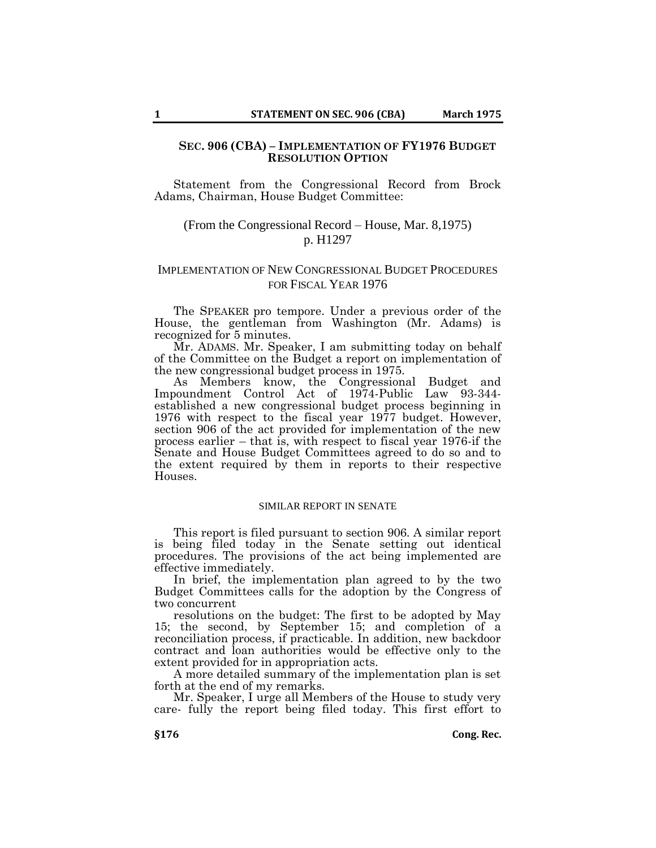### **SEC. 906 (CBA) – IMPLEMENTATION OF FY1976 BUDGET RESOLUTION OPTION**

Statement from the Congressional Record from Brock Adams, Chairman, House Budget Committee:

# (From the Congressional Record – House, Mar. 8,1975) p. H1297

## IMPLEMENTATION OF NEW CONGRESSIONAL BUDGET PROCEDURES FOR FISCAL YEAR 1976

The SPEAKER pro tempore. Under a previous order of the House, the gentleman from Washington (Mr. Adams) is recognized for 5 minutes.

Mr. ADAMS. Mr. Speaker, I am submitting today on behalf of the Committee on the Budget a report on implementation of the new congressional budget process in 1975.

As Members know, the Congressional Budget and Impoundment Control Act of 1974-Public Law 93-344 established a new congressional budget process beginning in 1976 with respect to the fiscal year 1977 budget. However, section 906 of the act provided for implementation of the new process earlier – that is, with respect to fiscal year 1976-if the Senate and House Budget Committees agreed to do so and to the extent required by them in reports to their respective Houses.

### SIMILAR REPORT IN SENATE

This report is filed pursuant to section 906. A similar report is being filed today in the Senate setting out identical procedures. The provisions of the act being implemented are effective immediately.

In brief, the implementation plan agreed to by the two Budget Committees calls for the adoption by the Congress of two concurrent

resolutions on the budget: The first to be adopted by May 15; the second, by September 15; and completion of a reconciliation process, if practicable. In addition, new backdoor contract and loan authorities would be effective only to the extent provided for in appropriation acts.

A more detailed summary of the implementation plan is set forth at the end of my remarks.

Mr. Speaker, I urge all Members of the House to study very care- fully the report being filed today. This first effort to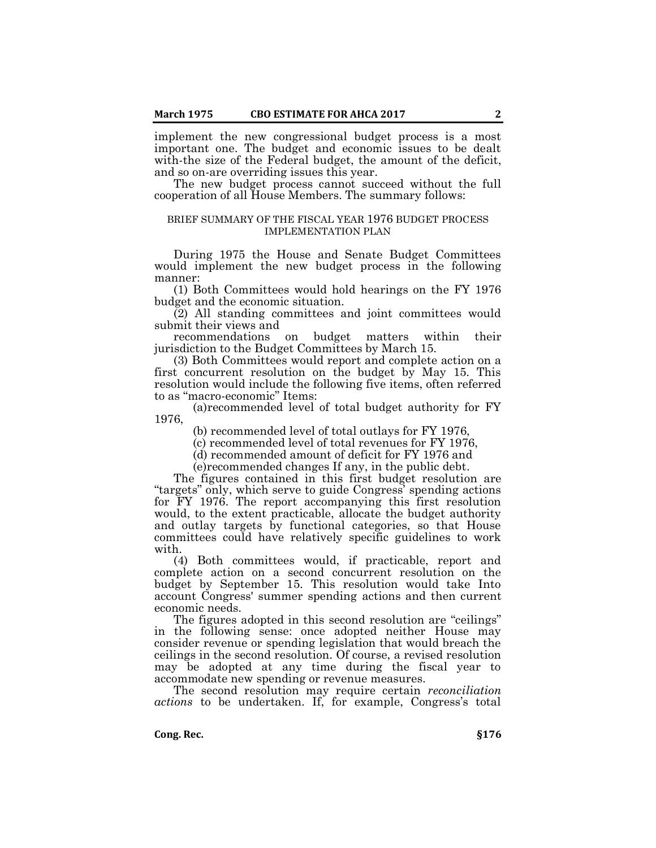implement the new congressional budget process is a most important one. The budget and economic issues to be dealt with-the size of the Federal budget, the amount of the deficit, and so on-are overriding issues this year.

The new budget process cannot succeed without the full cooperation of all House Members. The summary follows:

#### BRIEF SUMMARY OF THE FISCAL YEAR 1976 BUDGET PROCESS IMPLEMENTATION PLAN

During 1975 the House and Senate Budget Committees would implement the new budget process in the following manner:

(1) Both Committees would hold hearings on the FY 1976 budget and the economic situation.

(2) All standing committees and joint committees would submit their views and

recommendations on budget matters within their jurisdiction to the Budget Committees by March 15.

(3) Both Committees would report and complete action on a first concurrent resolution on the budget by May 15. This resolution would include the following five items, often referred to as "macro-economic" Items:

(a)recommended level of total budget authority for FY 1976,

(b) recommended level of total outlays for FY 1976,

(c) recommended level of total revenues for FY 1976,

(d) recommended amount of deficit for FY 1976 and

(e)recommended changes If any, in the public debt.

The figures contained in this first budget resolution are "targets" only, which serve to guide Congress' spending actions for FY 1976. The report accompanying this first resolution would, to the extent practicable, allocate the budget authority and outlay targets by functional categories, so that House committees could have relatively specific guidelines to work with.

(4) Both committees would, if practicable, report and complete action on a second concurrent resolution on the budget by September 15. This resolution would take Into account Congress' summer spending actions and then current economic needs.

The figures adopted in this second resolution are "ceilings" in the following sense: once adopted neither House may consider revenue or spending legislation that would breach the ceilings in the second resolution. Of course, a revised resolution may be adopted at any time during the fiscal year to accommodate new spending or revenue measures.

The second resolution may require certain *reconciliation actions* to be undertaken. If, for example, Congress's total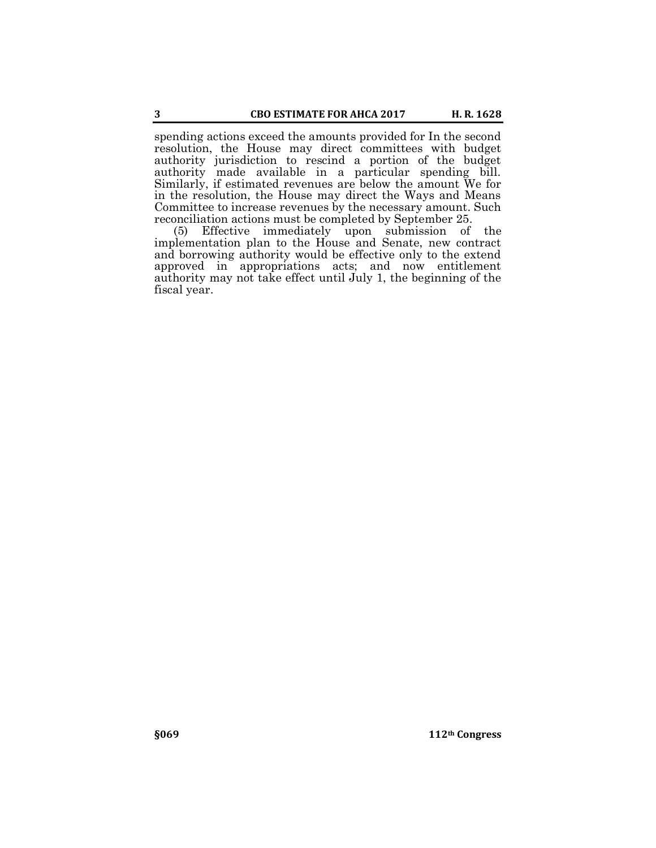spending actions exceed the amounts provided for In the second resolution, the House may direct committees with budget authority jurisdiction to rescind a portion of the budget authority made available in a particular spending bill. Similarly, if estimated revenues are below the amount We for in the resolution, the House may direct the Ways and Means Committee to increase revenues by the necessary amount. Such reconciliation actions must be completed by September 25.

(5) Effective immediately upon submission of the implementation plan to the House and Senate, new contract and borrowing authority would be effective only to the extend approved in appropriations acts; and now entitlement authority may not take effect until July 1, the beginning of the fiscal year.